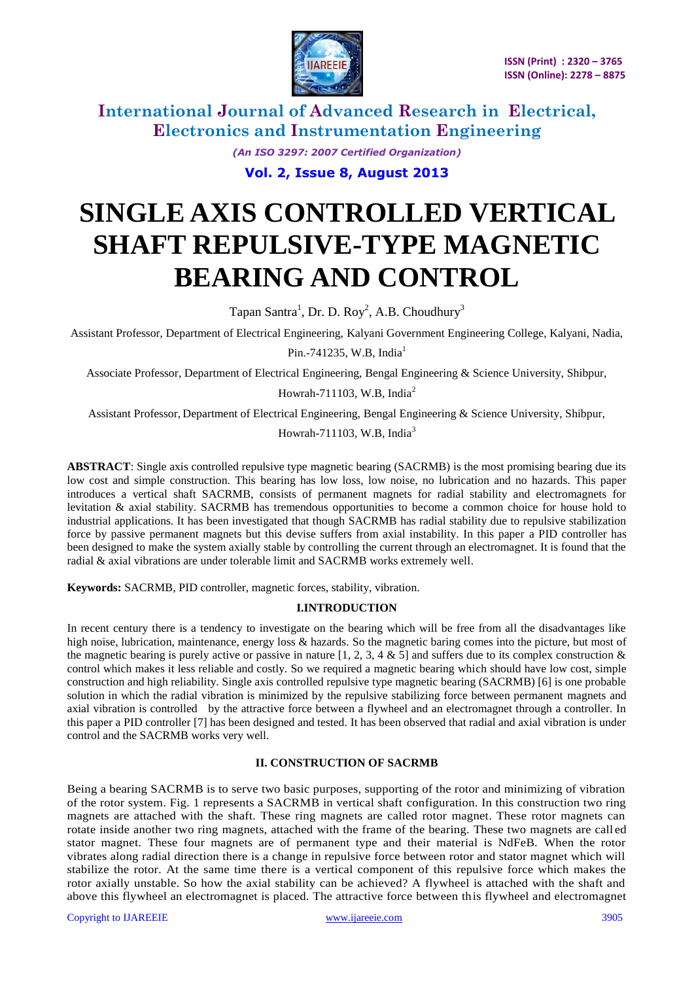

> *(An ISO 3297: 2007 Certified Organization)* **Vol. 2, Issue 8, August 2013**

# **SINGLE AXIS CONTROLLED VERTICAL SHAFT REPULSIVE-TYPE MAGNETIC BEARING AND CONTROL**

Tapan Santra<sup>1</sup>, Dr. D. Roy<sup>2</sup>, A.B. Choudhury<sup>3</sup>

Assistant Professor, Department of Electrical Engineering, Kalyani Government Engineering College, Kalyani, Nadia,

Pin.-741235, W.B. India<sup>1</sup>

Associate Professor, Department of Electrical Engineering, Bengal Engineering & Science University, Shibpur,

Howrah-711103, W.B, India<sup>2</sup>

Assistant Professor, Department of Electrical Engineering, Bengal Engineering & Science University, Shibpur,

Howrah-711103, W.B. India<sup>3</sup>

**ABSTRACT**: Single axis controlled repulsive type magnetic bearing (SACRMB) is the most promising bearing due its low cost and simple construction. This bearing has low loss, low noise, no lubrication and no hazards. This paper introduces a vertical shaft SACRMB, consists of permanent magnets for radial stability and electromagnets for levitation & axial stability. SACRMB has tremendous opportunities to become a common choice for house hold to industrial applications. It has been investigated that though SACRMB has radial stability due to repulsive stabilization force by passive permanent magnets but this devise suffers from axial instability. In this paper a PID controller has been designed to make the system axially stable by controlling the current through an electromagnet. It is found that the radial & axial vibrations are under tolerable limit and SACRMB works extremely well.

**Keywords:** SACRMB, PID controller, magnetic forces, stability, vibration.

#### **I.INTRODUCTION**

In recent century there is a tendency to investigate on the bearing which will be free from all the disadvantages like high noise, lubrication, maintenance, energy loss & hazards. So the magnetic baring comes into the picture, but most of the magnetic bearing is purely active or passive in nature [1, 2, 3, 4 & 5] and suffers due to its complex construction  $\&$ control which makes it less reliable and costly. So we required a magnetic bearing which should have low cost, simple construction and high reliability. Single axis controlled repulsive type magnetic bearing (SACRMB) [6] is one probable solution in which the radial vibration is minimized by the repulsive stabilizing force between permanent magnets and axial vibration is controlled by the attractive force between a flywheel and an electromagnet through a controller. In this paper a PID controller [7] has been designed and tested. It has been observed that radial and axial vibration is under control and the SACRMB works very well.

#### **II. CONSTRUCTION OF SACRMB**

Being a bearing SACRMB is to serve two basic purposes, supporting of the rotor and minimizing of vibration of the rotor system. Fig. 1 represents a SACRMB in vertical shaft configuration. In this construction two ring magnets are attached with the shaft. These ring magnets are called rotor magnet. These rotor magnets can rotate inside another two ring magnets, attached with the frame of the bearing. These two magnets are call ed stator magnet. These four magnets are of permanent type and their material is NdFeB. When the rotor vibrates along radial direction there is a change in repulsive force between rotor and stator magnet which will stabilize the rotor. At the same time there is a vertical component of this repulsive force which makes the rotor axially unstable. So how the axial stability can be achieved? A flywheel is attached with the shaft and above this flywheel an electromagnet is placed. The attractive force between this flywheel and electromagnet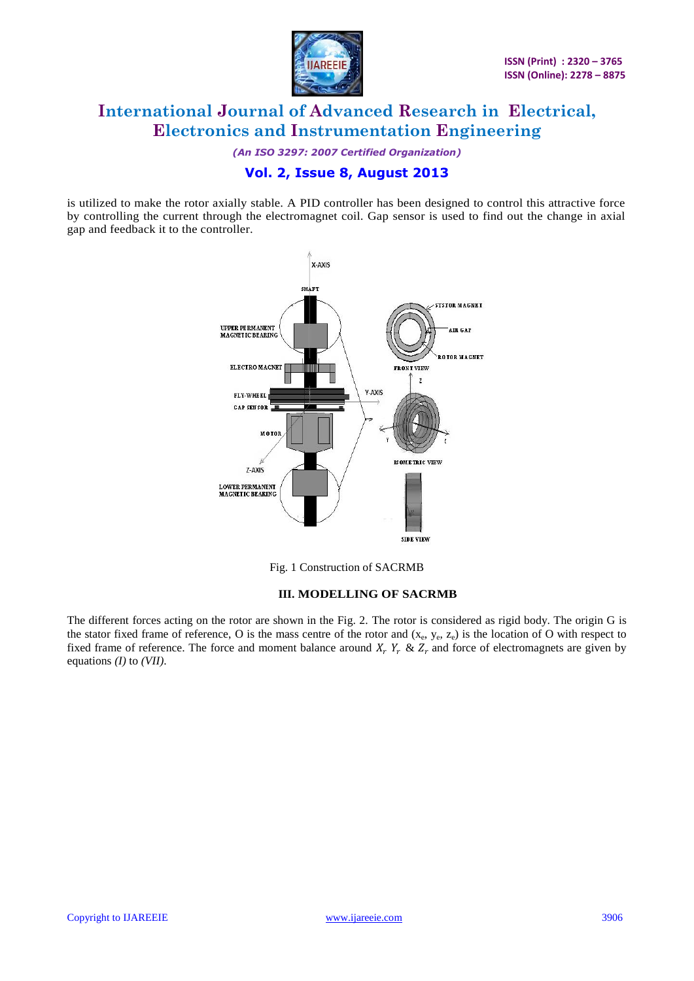

*(An ISO 3297: 2007 Certified Organization)*

### **Vol. 2, Issue 8, August 2013**

is utilized to make the rotor axially stable. A PID controller has been designed to control this attractive force by controlling the current through the electromagnet coil. Gap sensor is used to find out the change in axial gap and feedback it to the controller.



Fig. 1 Construction of SACRMB

### **III. MODELLING OF SACRMB**

The different forces acting on the rotor are shown in the Fig. 2. The rotor is considered as rigid body. The origin G is the stator fixed frame of reference, O is the mass centre of the rotor and  $(x_e, y_e, z_e)$  is the location of O with respect to fixed frame of reference. The force and moment balance around  $X_r$ ,  $Y_r$  &  $Z_r$  and force of electromagnets are given by equations *(I)* to *(VII)*.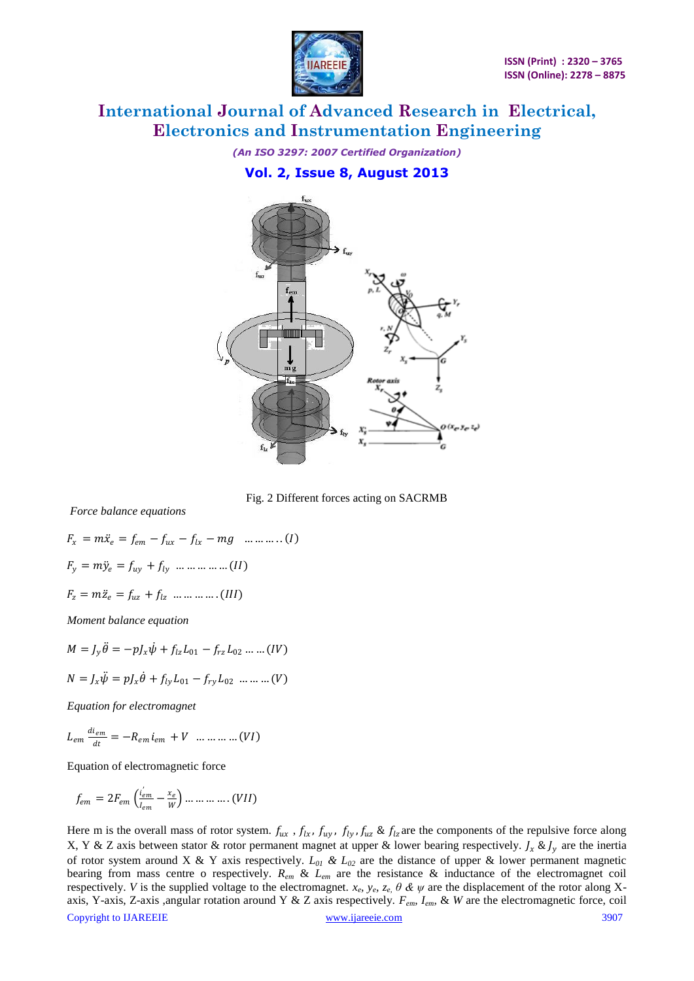

*(An ISO 3297: 2007 Certified Organization)* **Vol. 2, Issue 8, August 2013**



Fig. 2 Different forces acting on SACRMB

*Force balance equations*

$$
F_x = m\ddot{x}_e = f_{em} - f_{ux} - f_{lx} - mg \dots \dots \dots (I)
$$
  
\n
$$
F_y = m\ddot{y}_e = f_{uy} + f_{ly} \dots \dots \dots \dots (II)
$$
  
\n
$$
F_z = m\ddot{z}_e = f_{uz} + f_{lz} \dots \dots \dots \dots (III)
$$

*Moment balance equation*

$$
M = J_y \ddot{\theta} = -pJ_x \dot{\psi} + f_{lz} L_{01} - f_{rz} L_{02} \dots \dots (IV)
$$
  

$$
N = J_x \ddot{\psi} = pJ_x \dot{\theta} + f_{ly} L_{01} - f_{ry} L_{02} \dots \dots \dots (V)
$$

*Equation for electromagnet*

$$
L_{em} \frac{di_{em}}{dt} = -R_{em} i_{em} + V \dots \dots \dots \dots (VI)
$$

Equation of electromagnetic force

$$
f_{em} = 2F_{em} \left( \frac{i_{em}'}{i_{em}} - \frac{x_e}{W} \right) \dots \dots \dots \dots \dots (VII)
$$

Copyright to IJAREEIE [www.ijareeie.com](http://www.ijareeie.com/) 3907 Here m is the overall mass of rotor system.  $f_{ux}$ ,  $f_{lx}$ ,  $f_{uy}$ ,  $f_{ly}$ ,  $f_{uz}$  &  $f_{lz}$  are the components of the repulsive force along X, Y & Z axis between stator & rotor permanent magnet at upper & lower bearing respectively.  $\int_x \& \int_y$  are the inertia of rotor system around X & Y axis respectively. *L<sup>01</sup> & L<sup>02</sup>* are the distance of upper & lower permanent magnetic bearing from mass centre o respectively. *Rem* & *Lem* are the resistance & inductance of the electromagnet coil respectively. *V* is the supplied voltage to the electromagnet.  $x_e$ ,  $y_e$ ,  $z_e$ ,  $\theta$  &  $\psi$  are the displacement of the rotor along Xaxis, Y-axis, Z-axis ,angular rotation around Y & Z axis respectively. *Fem, Iem,* & *W* are the electromagnetic force, coil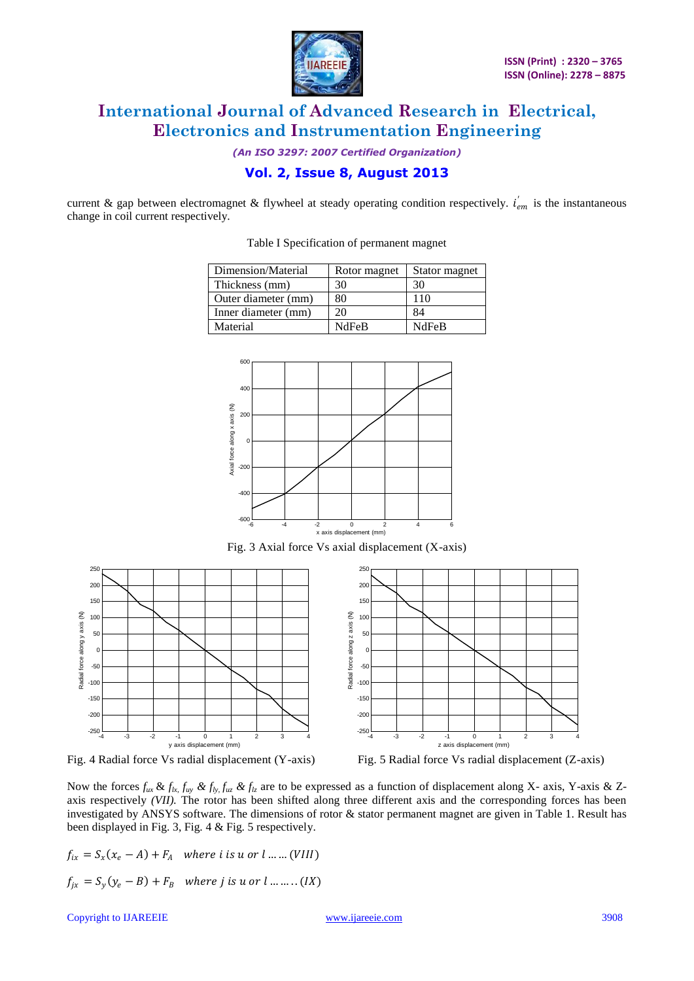

*(An ISO 3297: 2007 Certified Organization)*

### **Vol. 2, Issue 8, August 2013**

current & gap between electromagnet & flywheel at steady operating condition respectively.  $i_{em}^{'}$  is the instantaneous change in coil current respectively.

Table I Specification of permanent magnet

| Dimension/Material  | Rotor magnet | Stator magnet |
|---------------------|--------------|---------------|
| Thickness (mm)      | 30           | 30            |
| Outer diameter (mm) | 80           | 110           |
| Inner diameter (mm) | 20           | 84            |
| Material            | <b>NdFeB</b> | <b>NdFeB</b>  |



Fig. 3 Axial force Vs axial displacement (X-axis)



Fig. 4 Radial force Vs radial displacement (Y-axis) Fig. 5 Radial force Vs radial displacement (Z-axis)

Now the forces  $f_{ux} \& f_{lx}$ ,  $f_{uy} \& f_{ly}$ ,  $f_{uz} \& f_{lz}$  are to be expressed as a function of displacement along X- axis, Y-axis & Zaxis respectively *(VII)*. The rotor has been shifted along three different axis and the corresponding forces has been investigated by ANSYS software. The dimensions of rotor & stator permanent magnet are given in Table 1. Result has been displayed in Fig. 3, Fig. 4 & Fig. 5 respectively.

$$
f_{ix} = S_x(x_e - A) + F_A \quad \text{where } i \text{ is } u \text{ or } l \dots (VIII)
$$
\n
$$
f_{jx} = S_y(y_e - B) + F_B \quad \text{where } j \text{ is } u \text{ or } l \dots (IX)
$$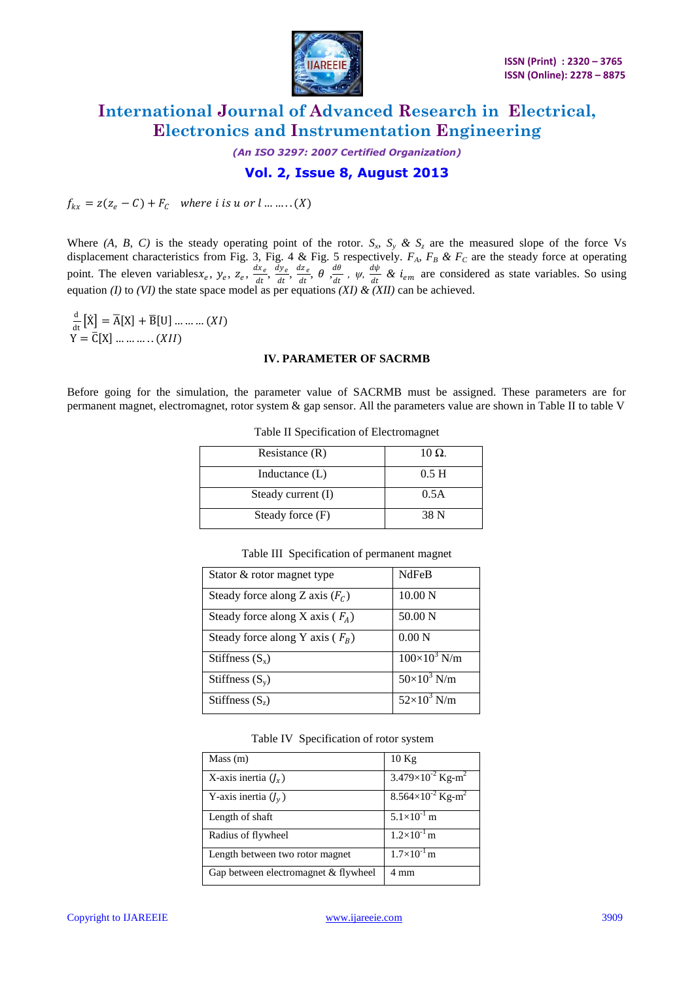

*(An ISO 3297: 2007 Certified Organization)* **Vol. 2, Issue 8, August 2013**

 $f_{kx} = z(z_e - C) + F_c$  where *i* is *u* or *l* ... ... . . (*X*)

Where (A, B, C) is the steady operating point of the rotor.  $S_x$ ,  $S_y$  &  $S_z$  are the measured slope of the force Vs displacement characteristics from Fig. 3, Fig. 4 & Fig. 5 respectively. *FA, F<sup>B</sup> & F<sup>C</sup>* are the steady force at operating point. The eleven variables  $x_e$ ,  $y_e$ ,  $z_e$ ,  $\frac{dx_e}{dt}$  $\frac{dx_e}{dt}$ ,  $\frac{dy_e}{dt}$  $rac{dy_e}{dt}$ ,  $rac{dz_e}{dt}$  $\frac{dz_e}{dt}$ ,  $\theta$  ,  $\frac{d\theta}{dt}$  $\frac{d\theta}{dt}$ ,  $\psi$ ,  $\frac{d\psi}{dt}$  $\frac{d\psi}{dt}$  &  $i_{em}$  are considered as state variables. So using equation *(I)* to *(VI)* the state space model as per equations *(XI) & (XII)* can be achieved.

 $\frac{d}{dt}$  $\frac{d}{dt}[\dot{X}] = \overline{A}[X] + \overline{B}[U] \dots \dots \dots (XI)$  $Y = \overline{C}[X] \dots \dots \dots (XII)$ 

#### **IV. PARAMETER OF SACRMB**

Before going for the simulation, the parameter value of SACRMB must be assigned. These parameters are for permanent magnet, electromagnet, rotor system & gap sensor. All the parameters value are shown in Table II to table V

| Resistance $(R)$   | $10 \Omega$ .    |
|--------------------|------------------|
| Inductance $(L)$   | 0.5 <sub>H</sub> |
| Steady current (I) | 0.5A             |
| Steady force (F)   | 38 N             |

Table II Specification of Electromagnet

| Stator & rotor magnet type          | <b>NdFeB</b>          |
|-------------------------------------|-----------------------|
| Steady force along Z axis $(F_c)$   | $10.00\text{ N}$      |
| Steady force along X axis ( $F_A$ ) | 50.00 N               |
| Steady force along Y axis ( $F_R$ ) | $0.00\text{ N}$       |
| Stiffness $(S_x)$                   | $100\times10^{3}$ N/m |
| Stiffness $(S_v)$                   | $50\times10^3$ N/m    |
| Stiffness $(S_z)$                   | $52\times10^3$ N/m    |

Table III Specification of permanent magnet

#### Table IV Specification of rotor system

| Mass (m)                             | 10Kg                                     |
|--------------------------------------|------------------------------------------|
| X-axis inertia $(J_x)$               | $3.479 \times 10^{-2}$ Kg-m <sup>2</sup> |
| Y-axis inertia $(J_y)$               | $8.564\times10^{-2}$ Kg-m <sup>2</sup>   |
| Length of shaft                      | $5.1\times10^{-1}$ m                     |
| Radius of flywheel                   | $1.2\times10^{-1}$ m                     |
| Length between two rotor magnet      | $1.7\times10^{-1}$ m                     |
| Gap between electromagnet & flywheel | 4 mm                                     |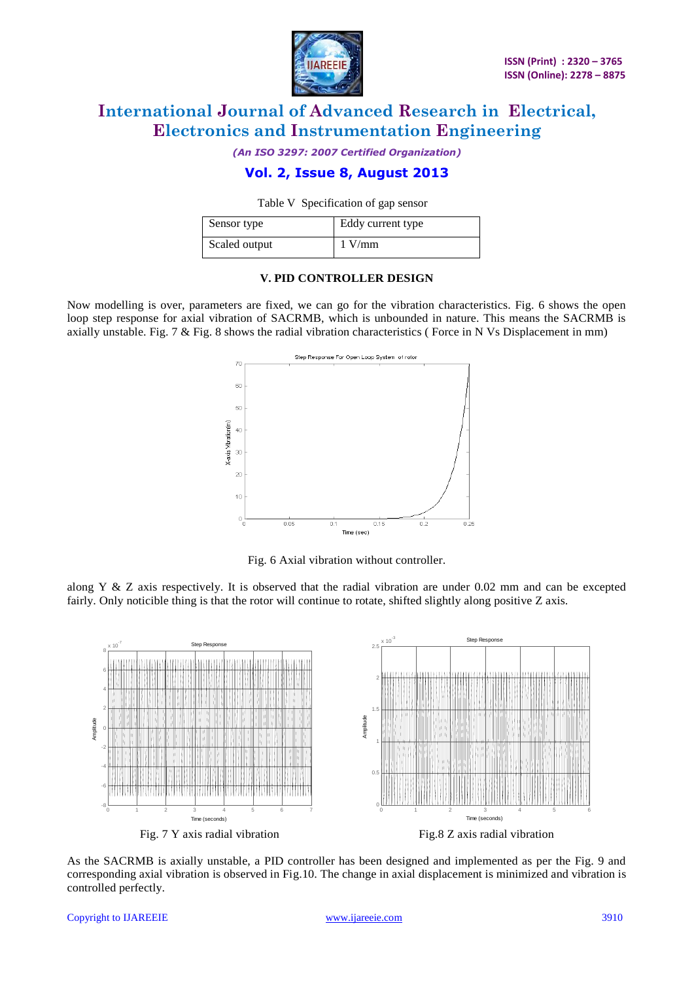

*(An ISO 3297: 2007 Certified Organization)*

### **Vol. 2, Issue 8, August 2013**

Table V Specification of gap sensor

| Sensor type   | Eddy current type |
|---------------|-------------------|
| Scaled output | $1$ V/mm          |

#### **V. PID CONTROLLER DESIGN**

Now modelling is over, parameters are fixed, we can go for the vibration characteristics. Fig. 6 shows the open loop step response for axial vibration of SACRMB, which is unbounded in nature. This means the SACRMB is axially unstable. Fig. 7 & Fig. 8 shows the radial vibration characteristics ( Force in N Vs Displacement in mm)



Fig. 6 Axial vibration without controller.

along Y & Z axis respectively. It is observed that the radial vibration are under 0.02 mm and can be excepted fairly. Only noticible thing is that the rotor will continue to rotate, shifted slightly along positive Z axis.



As the SACRMB is axially unstable, a PID controller has been designed and implemented as per the Fig. 9 and corresponding axial vibration is observed in Fig.10. The change in axial displacement is minimized and vibration is controlled perfectly.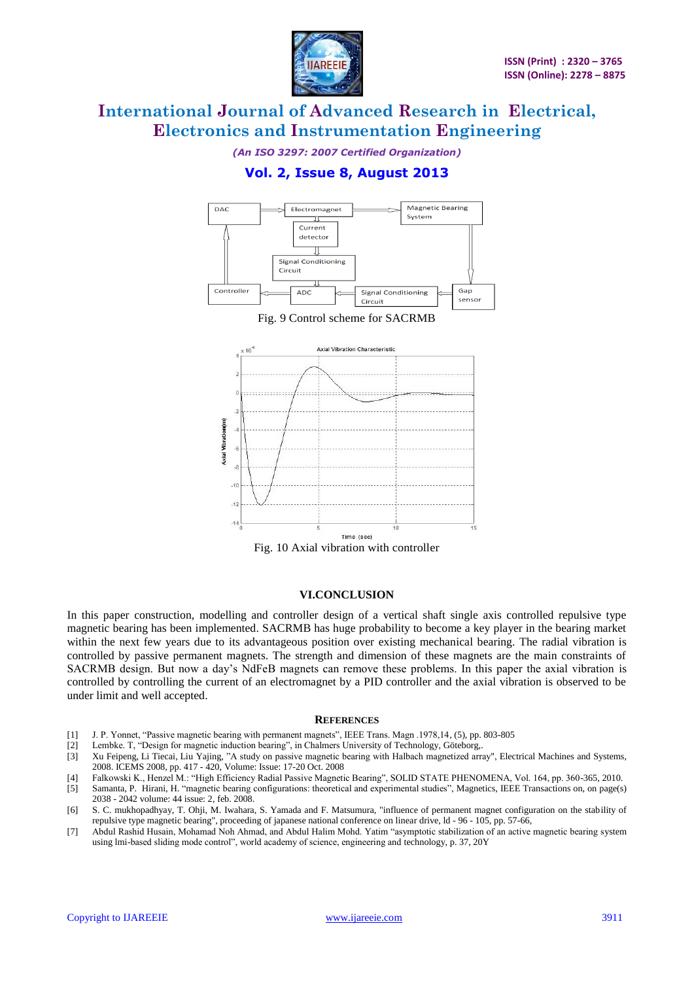

*(An ISO 3297: 2007 Certified Organization)*

### **Vol. 2, Issue 8, August 2013**





#### **VI.CONCLUSION**

In this paper construction, modelling and controller design of a vertical shaft single axis controlled repulsive type magnetic bearing has been implemented. SACRMB has huge probability to become a key player in the bearing market within the next few years due to its advantageous position over existing mechanical bearing. The radial vibration is controlled by passive permanent magnets. The strength and dimension of these magnets are the main constraints of SACRMB design. But now a day's NdFeB magnets can remove these problems. In this paper the axial vibration is controlled by controlling the current of an electromagnet by a PID controller and the axial vibration is observed to be under limit and well accepted.

#### **REFERENCES**

- [1] J. P. Yonnet, "Passive magnetic bearing with permanent magnets", IEEE Trans. Magn .1978,14, (5), pp. 803-805
- [2] Lembke. T, "Design for magnetic induction bearing", in Chalmers University of Technology, Göteborg,.
- [3] Xu Feipeng, Li Tiecai, Liu Yajing, "A study on passive magnetic bearing with Halbach magnetized array", Electrical Machines and Systems, 2008. ICEMS 2008, pp. 417 - 420, Volume: Issue: 17-20 Oct. 2008
- 
- [4] Falkowski K., Henzel M.: "High Efficiency Radial Passive Magnetic Bearing", SOLID STATE PHENOMENA, Vol. 164, pp. 360-365, 2010. [5] Samanta, P. Hirani, H. "magnetic bearing configurations: theoretical and experimental studies"[, Magnetics, IEEE Transactions on,](http://ieeexplore.ieee.org/xpl/RecentIssue.jsp?punumber=20) on page(s) 2038 - 2042 volume: 4[4 issue: 2,](http://ieeexplore.ieee.org/xpl/tocresult.jsp?isnumber=4432685) feb. 2008.
- [6] S. C. mukhopadhyay, T. Ohji, M. Iwahara, S. Yamada and F. Matsumura, "influence of permanent magnet configuration on the stability of repulsive type magnetic bearing", proceeding of japanese national conference on linear drive, ld - 96 - 105, pp. 57-66,
- [7] Abdul Rashid Husain, Mohamad Noh Ahmad, and Abdul Halim Mohd. Yatim "asymptotic stabilization of an active magnetic bearing system using lmi-based sliding mode control", world academy of science, engineering and technology, p. 37, 20Y